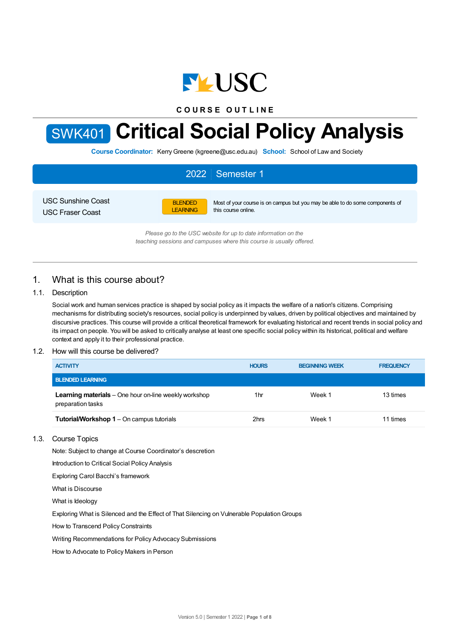

**C O U R S E O U T L I N E**



# SWK401 **Critical Social Policy Analysis**

**Course Coordinator:** KerryGreene (kgreene@usc.edu.au) **School:** School of Law and Society

| 2022 Semester 1           |                 |                                                                               |  |  |  |
|---------------------------|-----------------|-------------------------------------------------------------------------------|--|--|--|
| <b>USC Sunshine Coast</b> | <b>BLENDED</b>  | Most of your course is on campus but you may be able to do some components of |  |  |  |
| <b>USC Fraser Coast</b>   | <b>LEARNING</b> | this course online.                                                           |  |  |  |

*Please go to the USC website for up to date information on the teaching sessions and campuses where this course is usually offered.*

# 1. What is this course about?

# 1.1. Description

Social work and human services practice is shaped by social policy as it impacts the welfare of a nation's citizens. Comprising mechanisms for distributing society's resources, social policy is underpinned by values, driven by political objectives and maintained by discursive practices. This course will provide a critical theoretical framework for evaluating historical and recent trends in social policy and its impact on people. You will be asked to critically analyse at least one specific social policy within its historical, political and welfare context and apply it to their professional practice.

# 1.2. How will this course be delivered?

| <b>ACTIVITY</b>                                                                   | <b>HOURS</b> | <b>BEGINNING WEEK</b> | <b>FREQUENCY</b> |
|-----------------------------------------------------------------------------------|--------------|-----------------------|------------------|
| <b>BLENDED LEARNING</b>                                                           |              |                       |                  |
| <b>Learning materials</b> – One hour on-line weekly workshop<br>preparation tasks | 1hr          | Week 1                | 13 times         |
| <b>Tutorial/Workshop 1</b> – On campus tutorials                                  | 2hrs         | Week 1                | 11 times         |

# 1.3. Course Topics

Note: Subject to change at Course Coordinator's descretion

Introduction to Critical Social Policy Analysis

Exploring Carol Bacchi's framework

What is Discourse

What is Ideology

Exploring What is Silenced and the Effect of That Silencing on Vulnerable PopulationGroups

How to Transcend Policy Constraints

Writing Recommendations for Policy Advocacy Submissions

How to Advocate to Policy Makers in Person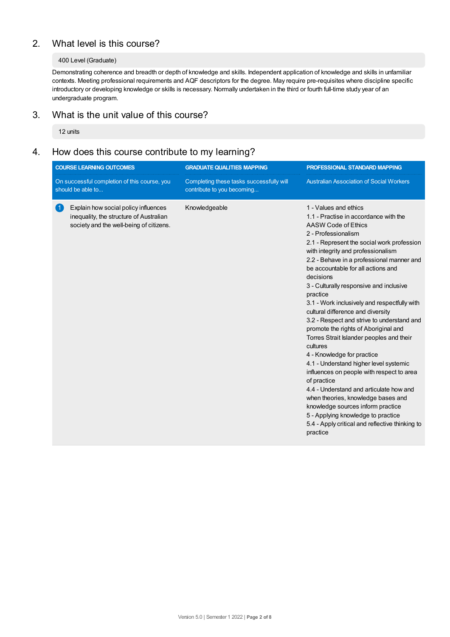# 2. What level is this course?

# 400 Level (Graduate)

Demonstrating coherence and breadth or depth of knowledge and skills. Independent application of knowledge and skills in unfamiliar contexts. Meeting professional requirements and AQF descriptors for the degree. May require pre-requisites where discipline specific introductory or developing knowledge or skills is necessary. Normally undertaken in the third or fourth full-time study year of an undergraduate program.

# 3. What is the unit value of this course?

12 units

# 4. How does this course contribute to my learning?

| <b>COURSE LEARNING OUTCOMES</b>                                   |                                                                                                                            | <b>GRADUATE QUALITIES MAPPING</b>                                      | PROFESSIONAL STANDARD MAPPING                                                                                                                                                                                                                                                                                                                                                                                                                                                                                                                                                                                                                                                                                                                                                                                                                                                                                                                             |  |
|-------------------------------------------------------------------|----------------------------------------------------------------------------------------------------------------------------|------------------------------------------------------------------------|-----------------------------------------------------------------------------------------------------------------------------------------------------------------------------------------------------------------------------------------------------------------------------------------------------------------------------------------------------------------------------------------------------------------------------------------------------------------------------------------------------------------------------------------------------------------------------------------------------------------------------------------------------------------------------------------------------------------------------------------------------------------------------------------------------------------------------------------------------------------------------------------------------------------------------------------------------------|--|
| On successful completion of this course, you<br>should be able to |                                                                                                                            | Completing these tasks successfully will<br>contribute to you becoming | <b>Australian Association of Social Workers</b>                                                                                                                                                                                                                                                                                                                                                                                                                                                                                                                                                                                                                                                                                                                                                                                                                                                                                                           |  |
| (1)                                                               | Explain how social policy influences<br>inequality, the structure of Australian<br>society and the well-being of citizens. | Knowledgeable                                                          | 1 - Values and ethics<br>1.1 - Practise in accordance with the<br>AASW Code of Ethics<br>2 - Professionalism<br>2.1 - Represent the social work profession<br>with integrity and professionalism<br>2.2 - Behave in a professional manner and<br>be accountable for all actions and<br>decisions<br>3 - Culturally responsive and inclusive<br>practice<br>3.1 - Work inclusively and respectfully with<br>cultural difference and diversity<br>3.2 - Respect and strive to understand and<br>promote the rights of Aboriginal and<br>Torres Strait Islander peoples and their<br>cultures<br>4 - Knowledge for practice<br>4.1 - Understand higher level systemic<br>influences on people with respect to area<br>of practice<br>4.4 - Understand and articulate how and<br>when theories, knowledge bases and<br>knowledge sources inform practice<br>5 - Applying knowledge to practice<br>5.4 - Apply critical and reflective thinking to<br>practice |  |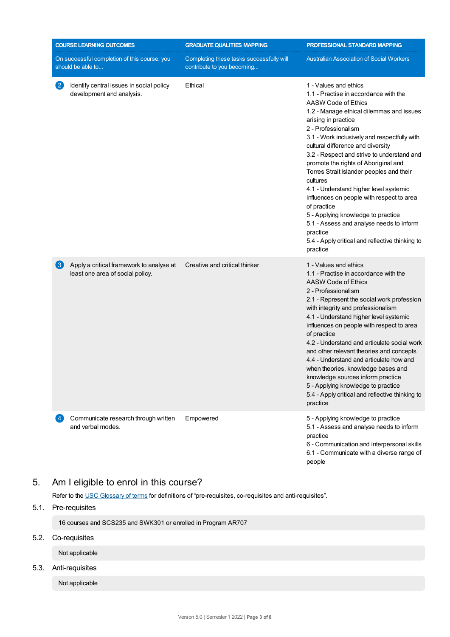|                   | <b>COURSE LEARNING OUTCOMES</b>                                              | <b>GRADUATE QUALITIES MAPPING</b>                                      | PROFESSIONAL STANDARD MAPPING                                                                                                                                                                                                                                                                                                                                                                                                                                                                                                                                                                                                                                                         |  |
|-------------------|------------------------------------------------------------------------------|------------------------------------------------------------------------|---------------------------------------------------------------------------------------------------------------------------------------------------------------------------------------------------------------------------------------------------------------------------------------------------------------------------------------------------------------------------------------------------------------------------------------------------------------------------------------------------------------------------------------------------------------------------------------------------------------------------------------------------------------------------------------|--|
|                   | On successful completion of this course, you<br>should be able to            | Completing these tasks successfully will<br>contribute to you becoming | <b>Australian Association of Social Workers</b>                                                                                                                                                                                                                                                                                                                                                                                                                                                                                                                                                                                                                                       |  |
| $\left( 2\right)$ | Identify central issues in social policy<br>development and analysis.        | Ethical                                                                | 1 - Values and ethics<br>1.1 - Practise in accordance with the<br>AASW Code of Ethics<br>1.2 - Manage ethical dilemmas and issues<br>arising in practice<br>2 - Professionalism<br>3.1 - Work inclusively and respectfully with<br>cultural difference and diversity<br>3.2 - Respect and strive to understand and<br>promote the rights of Aboriginal and<br>Torres Strait Islander peoples and their<br>cultures<br>4.1 - Understand higher level systemic<br>influences on people with respect to area<br>of practice<br>5 - Applying knowledge to practice<br>5.1 - Assess and analyse needs to inform<br>practice<br>5.4 - Apply critical and reflective thinking to<br>practice |  |
| $\left(3\right)$  | Apply a critical framework to analyse at<br>least one area of social policy. | Creative and critical thinker                                          | 1 - Values and ethics<br>1.1 - Practise in accordance with the<br>AASW Code of Ethics<br>2 - Professionalism<br>2.1 - Represent the social work profession<br>with integrity and professionalism<br>4.1 - Understand higher level systemic<br>influences on people with respect to area<br>of practice<br>4.2 - Understand and articulate social work<br>and other relevant theories and concepts<br>4.4 - Understand and articulate how and<br>when theories, knowledge bases and<br>knowledge sources inform practice<br>5 - Applying knowledge to practice<br>5.4 - Apply critical and reflective thinking to<br>practice                                                          |  |
| 4 <sup>1</sup>    | Communicate research through written<br>and verbal modes.                    | Empowered                                                              | 5 - Applying knowledge to practice<br>5.1 - Assess and analyse needs to inform<br>practice<br>6 - Communication and interpersonal skills<br>6.1 - Communicate with a diverse range of<br>people                                                                                                                                                                                                                                                                                                                                                                                                                                                                                       |  |

# 5. Am Ieligible to enrol in this course?

Refer to the USC [Glossary](https://www.usc.edu.au/about/policies-and-procedures/glossary-of-terms-for-policy-and-procedures) of terms for definitions of "pre-requisites, co-requisites and anti-requisites".

# 5.1. Pre-requisites

16 courses and SCS235 and SWK301 or enrolled in Program AR707

# 5.2. Co-requisites

Not applicable

# 5.3. Anti-requisites

Not applicable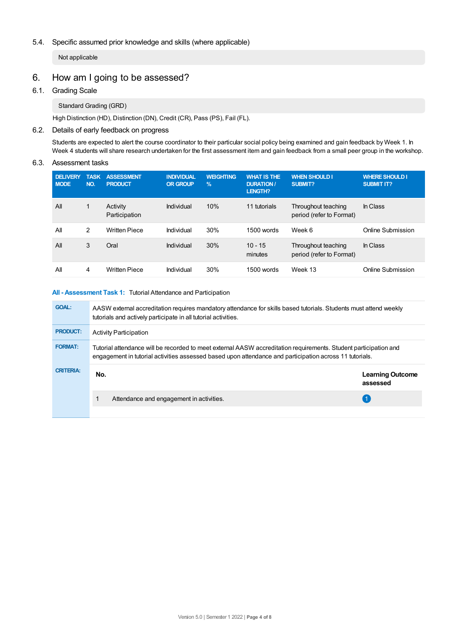# 5.4. Specific assumed prior knowledge and skills (where applicable)

Not applicable

# 6. How am Igoing to be assessed?

## 6.1. Grading Scale

Standard Grading (GRD)

High Distinction (HD), Distinction (DN), Credit (CR), Pass (PS), Fail (FL).

# 6.2. Details of early feedback on progress

Students are expected to alert the course coordinator to their particular social policy being examined and gain feedback by Week 1. In Week 4 students will share research undertaken for the first assessment item and gain feedback from a small peer group in the workshop.

#### 6.3. Assessment tasks

| <b>DELIVERY</b><br><b>MODE</b> | <b>TASK</b><br>NO. | <b>ASSESSMENT</b><br><b>PRODUCT</b> | <b>INDIVIDUAL</b><br><b>OR GROUP</b> | <b>WEIGHTING</b><br>$\frac{9}{6}$ | <b>WHAT IS THE</b><br><b>DURATION /</b><br><b>LENGTH?</b> | <b>WHEN SHOULD I</b><br><b>SUBMIT?</b>          | <b>WHERE SHOULD I</b><br><b>SUBMIT IT?</b> |
|--------------------------------|--------------------|-------------------------------------|--------------------------------------|-----------------------------------|-----------------------------------------------------------|-------------------------------------------------|--------------------------------------------|
| All                            | $\mathbf{1}$       | Activity<br>Participation           | Individual                           | 10%                               | 11 tutorials                                              | Throughout teaching<br>period (refer to Format) | In Class                                   |
| All                            | 2                  | <b>Written Piece</b>                | Individual                           | 30%                               | 1500 words                                                | Week 6                                          | Online Submission                          |
| All                            | 3                  | Oral                                | Individual                           | 30%                               | $10 - 15$<br>minutes                                      | Throughout teaching<br>period (refer to Format) | In Class                                   |
| All                            | 4                  | <b>Written Piece</b>                | Individual                           | 30%                               | 1500 words                                                | Week 13                                         | Online Submission                          |

#### **All - Assessment Task 1:** Tutorial Attendance and Participation

| <b>GOAL:</b>     | AASW external accreditation requires mandatory attendance for skills based tutorials. Students must attend weekly<br>tutorials and actively participate in all tutorial activities.                                         |                                     |  |  |  |
|------------------|-----------------------------------------------------------------------------------------------------------------------------------------------------------------------------------------------------------------------------|-------------------------------------|--|--|--|
| <b>PRODUCT:</b>  | <b>Activity Participation</b>                                                                                                                                                                                               |                                     |  |  |  |
| <b>FORMAT:</b>   | Tutorial attendance will be recorded to meet external AASW accreditation requirements. Student participation and<br>engagement in tutorial activities assessed based upon attendance and participation across 11 tutorials. |                                     |  |  |  |
| <b>CRITERIA:</b> | No.                                                                                                                                                                                                                         | <b>Learning Outcome</b><br>assessed |  |  |  |
|                  | Attendance and engagement in activities.                                                                                                                                                                                    |                                     |  |  |  |
|                  |                                                                                                                                                                                                                             |                                     |  |  |  |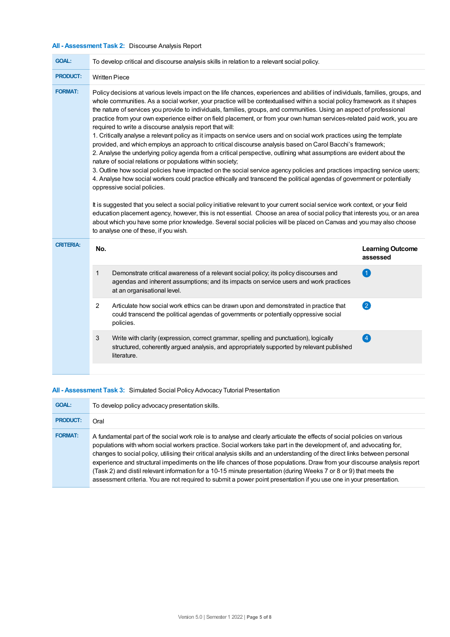# **All - Assessment Task 2:** Discourse Analysis Report

| <b>GOAL:</b>     | To develop critical and discourse analysis skills in relation to a relevant social policy.                                                                                                                                                                                                                                                                                                                                                                                                                                                                                                                                                                                                                                                                                                                                                                                                                                                                                                                                                                                                                                                                                                                                                                                                                                                                                                                                                                                                                                                                                                                                                                                                                                      |                                                                                                                                                                                                               |                                     |  |
|------------------|---------------------------------------------------------------------------------------------------------------------------------------------------------------------------------------------------------------------------------------------------------------------------------------------------------------------------------------------------------------------------------------------------------------------------------------------------------------------------------------------------------------------------------------------------------------------------------------------------------------------------------------------------------------------------------------------------------------------------------------------------------------------------------------------------------------------------------------------------------------------------------------------------------------------------------------------------------------------------------------------------------------------------------------------------------------------------------------------------------------------------------------------------------------------------------------------------------------------------------------------------------------------------------------------------------------------------------------------------------------------------------------------------------------------------------------------------------------------------------------------------------------------------------------------------------------------------------------------------------------------------------------------------------------------------------------------------------------------------------|---------------------------------------------------------------------------------------------------------------------------------------------------------------------------------------------------------------|-------------------------------------|--|
| <b>PRODUCT:</b>  | <b>Written Piece</b>                                                                                                                                                                                                                                                                                                                                                                                                                                                                                                                                                                                                                                                                                                                                                                                                                                                                                                                                                                                                                                                                                                                                                                                                                                                                                                                                                                                                                                                                                                                                                                                                                                                                                                            |                                                                                                                                                                                                               |                                     |  |
| <b>FORMAT:</b>   | Policy decisions at various levels impact on the life chances, experiences and abilities of individuals, families, groups, and<br>whole communities. As a social worker, your practice will be contextualised within a social policy framework as it shapes<br>the nature of services you provide to individuals, families, groups, and communities. Using an aspect of professional<br>practice from your own experience either on field placement, or from your own human services-related paid work, you are<br>required to write a discourse analysis report that will:<br>1. Critically analyse a relevant policy as it impacts on service users and on social work practices using the template<br>provided, and which employs an approach to critical discourse analysis based on Carol Bacchi's framework;<br>2. Analyse the underlying policy agenda from a critical perspective, outlining what assumptions are evident about the<br>nature of social relations or populations within society;<br>3. Outline how social policies have impacted on the social service agency policies and practices impacting service users;<br>4. Analyse how social workers could practice ethically and transcend the political agendas of government or potentially<br>oppressive social policies.<br>It is suggested that you select a social policy initiative relevant to your current social service work context, or your field<br>education placement agency, however, this is not essential. Choose an area of social policy that interests you, or an area<br>about which you have some prior knowledge. Several social policies will be placed on Canvas and you may also choose<br>to analyse one of these, if you wish. |                                                                                                                                                                                                               |                                     |  |
| <b>CRITERIA:</b> | No.                                                                                                                                                                                                                                                                                                                                                                                                                                                                                                                                                                                                                                                                                                                                                                                                                                                                                                                                                                                                                                                                                                                                                                                                                                                                                                                                                                                                                                                                                                                                                                                                                                                                                                                             |                                                                                                                                                                                                               | <b>Learning Outcome</b><br>assessed |  |
|                  | 1                                                                                                                                                                                                                                                                                                                                                                                                                                                                                                                                                                                                                                                                                                                                                                                                                                                                                                                                                                                                                                                                                                                                                                                                                                                                                                                                                                                                                                                                                                                                                                                                                                                                                                                               | Demonstrate critical awareness of a relevant social policy; its policy discourses and<br>agendas and inherent assumptions; and its impacts on service users and work practices<br>at an organisational level. | 4                                   |  |
|                  | 2                                                                                                                                                                                                                                                                                                                                                                                                                                                                                                                                                                                                                                                                                                                                                                                                                                                                                                                                                                                                                                                                                                                                                                                                                                                                                                                                                                                                                                                                                                                                                                                                                                                                                                                               | Articulate how social work ethics can be drawn upon and demonstrated in practice that<br>could transcend the political agendas of governments or potentially oppressive social<br>policies.                   | $\bullet$                           |  |
|                  | 3                                                                                                                                                                                                                                                                                                                                                                                                                                                                                                                                                                                                                                                                                                                                                                                                                                                                                                                                                                                                                                                                                                                                                                                                                                                                                                                                                                                                                                                                                                                                                                                                                                                                                                                               | Write with clarity (expression, correct grammar, spelling and punctuation), logically<br>structured, coherently argued analysis, and appropriately supported by relevant published<br>literature.             | $\overline{A}$                      |  |
|                  |                                                                                                                                                                                                                                                                                                                                                                                                                                                                                                                                                                                                                                                                                                                                                                                                                                                                                                                                                                                                                                                                                                                                                                                                                                                                                                                                                                                                                                                                                                                                                                                                                                                                                                                                 |                                                                                                                                                                                                               |                                     |  |

# **All - Assessment Task 3:** Simulated Social Policy Advocacy Tutorial Presentation

| <b>GOAL:</b>    | To develop policy advocacy presentation skills.                                                                                                                                                                                                                                                                                                                                                                                                                                                                                                                                                                                                                                                                                                          |
|-----------------|----------------------------------------------------------------------------------------------------------------------------------------------------------------------------------------------------------------------------------------------------------------------------------------------------------------------------------------------------------------------------------------------------------------------------------------------------------------------------------------------------------------------------------------------------------------------------------------------------------------------------------------------------------------------------------------------------------------------------------------------------------|
| <b>PRODUCT:</b> | Oral                                                                                                                                                                                                                                                                                                                                                                                                                                                                                                                                                                                                                                                                                                                                                     |
| <b>FORMAT:</b>  | A fundamental part of the social work role is to analyse and clearly articulate the effects of social policies on various<br>populations with whom social workers practice. Social workers take part in the development of, and advocating for,<br>changes to social policy, utilising their critical analysis skills and an understanding of the direct links between personal<br>experience and structural impediments on the life chances of those populations. Draw from your discourse analysis report<br>(Task 2) and distil relevant information for a 10-15 minute presentation (during Weeks 7 or 8 or 9) that meets the<br>assessment criteria. You are not required to submit a power point presentation if you use one in your presentation. |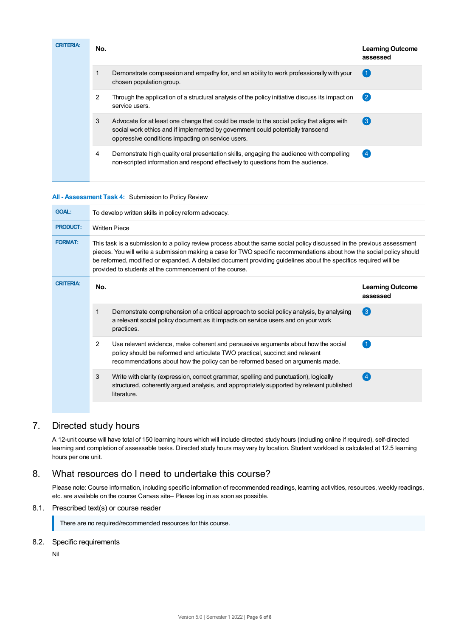| <b>CRITERIA:</b> | No. |                                                                                                                                                                                                                                   | <b>Learning Outcome</b><br>assessed |
|------------------|-----|-----------------------------------------------------------------------------------------------------------------------------------------------------------------------------------------------------------------------------------|-------------------------------------|
|                  |     | Demonstrate compassion and empathy for, and an ability to work professionally with your<br>chosen population group.                                                                                                               | $\left( 1 \right)$                  |
|                  | 2   | Through the application of a structural analysis of the policy initiative discuss its impact on<br>service users.                                                                                                                 | $\left( 2\right)$                   |
|                  | 3   | Advocate for at least one change that could be made to the social policy that aligns with<br>social work ethics and if implemented by government could potentially transcend<br>oppressive conditions impacting on service users. | $\left(3\right)$                    |
|                  | 4   | Demonstrate high quality oral presentation skills, engaging the audience with compelling<br>non-scripted information and respond effectively to questions from the audience.                                                      | $\left( 4 \right)$                  |

#### **All - Assessment Task 4:** Submission to Policy Review

| <b>GOAL:</b>     | To develop written skills in policy reform advocacy.                                                                                                                                                                                                                                                                                                                                                                           |                                                                                                                                                                                                                                                      |                                     |  |  |
|------------------|--------------------------------------------------------------------------------------------------------------------------------------------------------------------------------------------------------------------------------------------------------------------------------------------------------------------------------------------------------------------------------------------------------------------------------|------------------------------------------------------------------------------------------------------------------------------------------------------------------------------------------------------------------------------------------------------|-------------------------------------|--|--|
| <b>PRODUCT:</b>  | <b>Written Piece</b>                                                                                                                                                                                                                                                                                                                                                                                                           |                                                                                                                                                                                                                                                      |                                     |  |  |
| <b>FORMAT:</b>   | This task is a submission to a policy review process about the same social policy discussed in the previous assessment<br>pieces. You will write a submission making a case for TWO specific recommendations about how the social policy should<br>be reformed, modified or expanded. A detailed document providing guidelines about the specifics required will be<br>provided to students at the commencement of the course. |                                                                                                                                                                                                                                                      |                                     |  |  |
| <b>CRITERIA:</b> | No.                                                                                                                                                                                                                                                                                                                                                                                                                            |                                                                                                                                                                                                                                                      | <b>Learning Outcome</b><br>assessed |  |  |
|                  | 1                                                                                                                                                                                                                                                                                                                                                                                                                              | Demonstrate comprehension of a critical approach to social policy analysis, by analysing<br>a relevant social policy document as it impacts on service users and on your work<br>practices.                                                          | $\left( 3 \right)$                  |  |  |
|                  | $\overline{2}$                                                                                                                                                                                                                                                                                                                                                                                                                 | Use relevant evidence, make coherent and persuasive arguments about how the social<br>policy should be reformed and articulate TWO practical, succinct and relevant<br>recommendations about how the policy can be reformed based on arguments made. |                                     |  |  |
|                  | 3                                                                                                                                                                                                                                                                                                                                                                                                                              | Write with clarity (expression, correct grammar, spelling and punctuation), logically<br>structured, coherently argued analysis, and appropriately supported by relevant published<br>literature.                                                    | (4)                                 |  |  |
|                  |                                                                                                                                                                                                                                                                                                                                                                                                                                |                                                                                                                                                                                                                                                      |                                     |  |  |

# 7. Directed study hours

A 12-unit course will have total of 150 learning hours which will include directed study hours (including online if required), self-directed learning and completion of assessable tasks. Directed study hours may vary by location. Student workload is calculated at 12.5 learning hours per one unit.

# 8. What resources do I need to undertake this course?

Please note: Course information, including specific information of recommended readings, learning activities, resources, weekly readings, etc. are available on the course Canvas site– Please log in as soon as possible.

# 8.1. Prescribed text(s) or course reader

There are no required/recommended resources for this course.

8.2. Specific requirements

Nil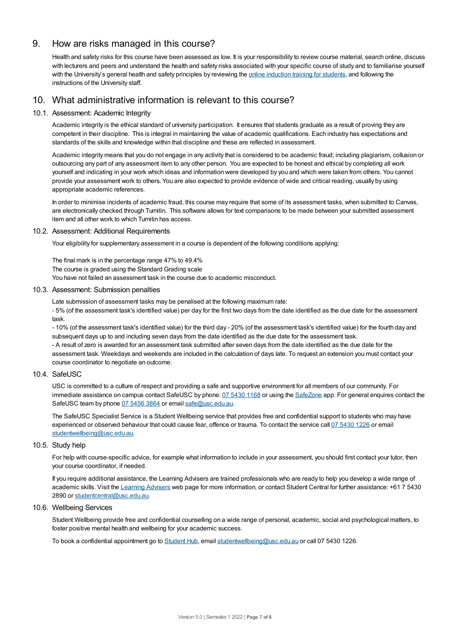# 9. How are risks managed in this course?

Health and safety risks for this course have been assessed as low. It is your responsibility to review course material, search online, discuss with lecturers and peers and understand the health and safety risks associated with your specific course of study and to familiarise yourself with the University's general health and safety principles by reviewing the online [induction](https://online.usc.edu.au/webapps/blackboard/content/listContentEditable.jsp?content_id=_632657_1&course_id=_14432_1) training for students, and following the instructions of the University staff.

# 10. What administrative information is relevant to this course?

## 10.1. Assessment: Academic Integrity

Academic integrity is the ethical standard of university participation. It ensures that students graduate as a result of proving they are competent in their discipline. This is integral in maintaining the value of academic qualifications. Each industry has expectations and standards of the skills and knowledge within that discipline and these are reflected in assessment.

Academic integrity means that you do not engage in any activity that is considered to be academic fraud; including plagiarism, collusion or outsourcing any part of any assessment item to any other person. You are expected to be honest and ethical by completing all work yourself and indicating in your work which ideas and information were developed by you and which were taken from others. You cannot provide your assessment work to others.You are also expected to provide evidence of wide and critical reading, usually by using appropriate academic references.

In order to minimise incidents of academic fraud, this course may require that some of its assessment tasks, when submitted to Canvas, are electronically checked through Turnitin. This software allows for text comparisons to be made between your submitted assessment item and all other work to which Turnitin has access.

## 10.2. Assessment: Additional Requirements

Your eligibility for supplementary assessment in a course is dependent of the following conditions applying:

The final mark is in the percentage range 47% to 49.4% The course is graded using the Standard Grading scale You have not failed an assessment task in the course due to academic misconduct.

### 10.3. Assessment: Submission penalties

Late submission of assessment tasks may be penalised at the following maximum rate:

- 5% (of the assessment task's identified value) per day for the first two days from the date identified as the due date for the assessment task.

- 10% (of the assessment task's identified value) for the third day - 20% (of the assessment task's identified value) for the fourth day and subsequent days up to and including seven days from the date identified as the due date for the assessment task. - A result of zero is awarded for an assessment task submitted after seven days from the date identified as the due date for the assessment task. Weekdays and weekends are included in the calculation of days late. To request an extension you must contact your course coordinator to negotiate an outcome.

#### 10.4. SafeUSC

USC is committed to a culture of respect and providing a safe and supportive environment for all members of our community. For immediate assistance on campus contact SafeUSC by phone: 07 [5430](tel:07%205430%201168) 1168 or using the [SafeZone](https://www.safezoneapp.com) app. For general enquires contact the SafeUSC team by phone 07 [5456](tel:07%205456%203864) 3864 or email [safe@usc.edu.au](mailto:safe@usc.edu.au).

The SafeUSC Specialist Service is a Student Wellbeing service that provides free and confidential support to students who may have experienced or observed behaviour that could cause fear, offence or trauma. To contact the service call 07 [5430](tel:07%205430%201226) 1226 or email [studentwellbeing@usc.edu.au](mailto:studentwellbeing@usc.edu.au).

#### 10.5. Study help

For help with course-specific advice, for example what information to include in your assessment, you should first contact your tutor, then your course coordinator, if needed.

If you require additional assistance, the Learning Advisers are trained professionals who are ready to help you develop a wide range of academic skills. Visit the Learning [Advisers](https://www.usc.edu.au/current-students/student-support/academic-and-study-support/learning-advisers) web page for more information, or contact Student Central for further assistance: +61 7 5430 2890 or [studentcentral@usc.edu.au](mailto:studentcentral@usc.edu.au).

#### 10.6. Wellbeing Services

Student Wellbeing provide free and confidential counselling on a wide range of personal, academic, social and psychological matters, to foster positive mental health and wellbeing for your academic success.

To book a confidential appointment go to [Student](https://studenthub.usc.edu.au/) Hub, email [studentwellbeing@usc.edu.au](mailto:studentwellbeing@usc.edu.au) or call 07 5430 1226.